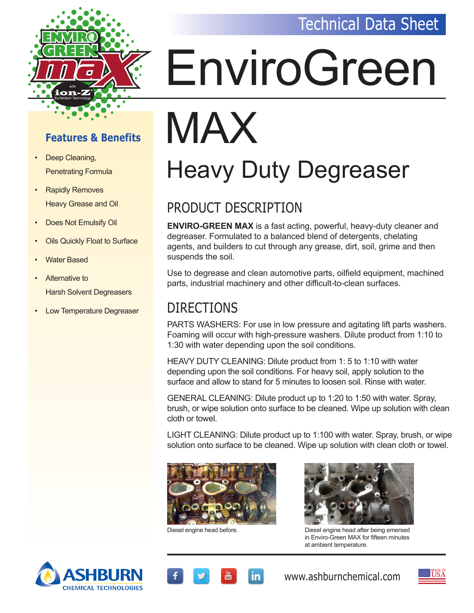#### Technical Data Sheet



# EnviroGreen

#### **Features & Benefits**

- Deep Cleaning, Penetrating Formula
- Rapidly Removes Heavy Grease and Oil
- Does Not Emulsify Oil
- **Oils Quickly Float to Surface**
- **Water Based**
- Alternative to Harsh Solvent Degreasers
- **Low Temperature Degreaser**

### MAX Heavy Duty Degreaser

#### PRODUCT DESCRIPTION

**ENVIRO-GREEN MAX** is a fast acting, powerful, heavy-duty cleaner and degreaser. Formulated to a balanced blend of detergents, chelating agents, and builders to cut through any grease, dirt, soil, grime and then suspends the soil.

Use to degrease and clean automotive parts, oilfield equipment, machined parts, industrial machinery and other difficult-to-clean surfaces.

#### DIRECTIONS

PARTS WASHERS: For use in low pressure and agitating lift parts washers. Foaming will occur with high-pressure washers. Dilute product from 1:10 to 1:30 with water depending upon the soil conditions.

HEAVY DUTY CLEANING: Dilute product from 1: 5 to 1:10 with water depending upon the soil conditions. For heavy soil, apply solution to the surface and allow to stand for 5 minutes to loosen soil. Rinse with water.

GENERAL CLEANING: Dilute product up to 1:20 to 1:50 with water. Spray, brush, or wipe solution onto surface to be cleaned. Wipe up solution with clean cloth or towel.

LIGHT CLEANING: Dilute product up to 1:100 with water. Spray, brush, or wipe solution onto surface to be cleaned. Wipe up solution with clean cloth or towel.





Diesel engine head before. Diesel engine head after being emersed in Enviro-Green MAX for fifteen minutes at ambient temperature.





www.ashburnchemical.com